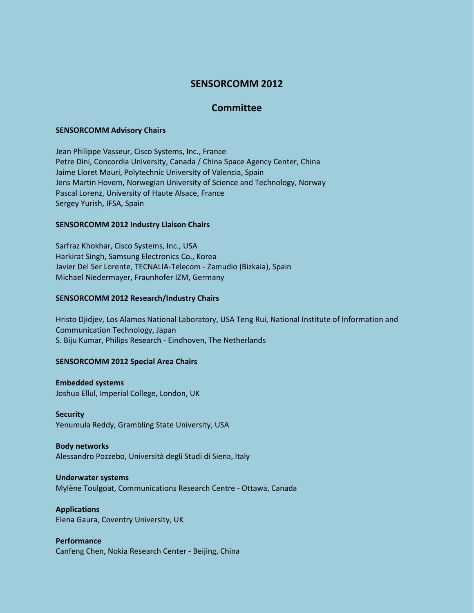## **SENSORCOMM 2012**

## **Committee**

#### **SENSORCOMM Advisory Chairs**

Jean Philippe Vasseur, Cisco Systems, Inc., France Petre Dini, Concordia University, Canada / China Space Agency Center, China Jaime Lloret Mauri, Polytechnic University of Valencia, Spain Jens Martin Hovem, Norwegian University of Science and Technology, Norway Pascal Lorenz, University of Haute Alsace, France Sergey Yurish, IFSA, Spain

#### **SENSORCOMM 2012 Industry Liaison Chairs**

Sarfraz Khokhar, Cisco Systems, Inc., USA Harkirat Singh, Samsung Electronics Co., Korea Javier Del Ser Lorente, TECNALIA-Telecom - Zamudio (Bizkaia), Spain Michael Niedermayer, Fraunhofer IZM, Germany

#### **SENSORCOMM 2012 Research/Industry Chairs**

Hristo Djidjev, Los Alamos National Laboratory, USA Teng Rui, National Institute of Information and Communication Technology, Japan S. Biju Kumar, Philips Research - Eindhoven, The Netherlands

## **SENSORCOMM 2012 Special Area Chairs**

**Embedded systems** Joshua Ellul, Imperial College, London, UK

**Security** Yenumula Reddy, Grambling State University, USA

# **Body networks**

Alessandro Pozzebo, Università degli Studi di Siena, Italy

#### **Underwater systems**

Mylène Toulgoat, Communications Research Centre - Ottawa, Canada

## **Applications**

Elena Gaura, Coventry University, UK

## **Performance**

Canfeng Chen, Nokia Research Center - Beijing, China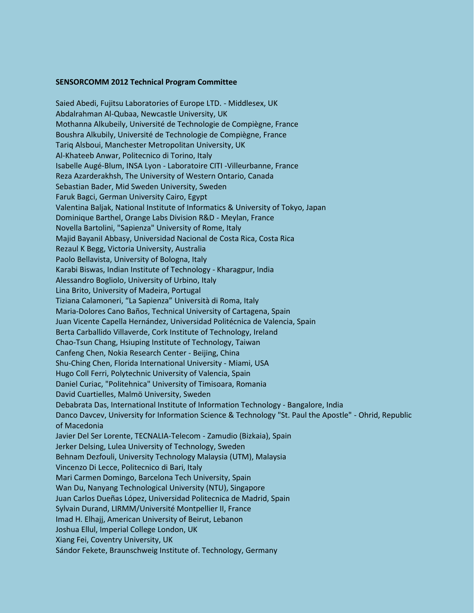#### **SENSORCOMM 2012 Technical Program Committee**

Saied Abedi, Fujitsu Laboratories of Europe LTD. - Middlesex, UK Abdalrahman Al-Qubaa, Newcastle University, UK Mothanna Alkubeily, Université de Technologie de Compiègne, France Boushra Alkubily, Université de Technologie de Compiègne, France Tariq Alsboui, Manchester Metropolitan University, UK Al-Khateeb Anwar, Politecnico di Torino, Italy Isabelle Augé-Blum, INSA Lyon - Laboratoire CITI -Villeurbanne, France Reza Azarderakhsh, The University of Western Ontario, Canada Sebastian Bader, Mid Sweden University, Sweden Faruk Bagci, German University Cairo, Egypt Valentina Baljak, National Institute of Informatics & University of Tokyo, Japan Dominique Barthel, Orange Labs Division R&D - Meylan, France Novella Bartolini, "Sapienza" University of Rome, Italy Majid BayaniI Abbasy, Universidad Nacional de Costa Rica, Costa Rica Rezaul K Begg, Victoria University, Australia Paolo Bellavista, University of Bologna, Italy Karabi Biswas, Indian Institute of Technology - Kharagpur, India Alessandro Bogliolo, University of Urbino, Italy Lina Brito, University of Madeira, Portugal Tiziana Calamoneri, "La Sapienza" Università di Roma, Italy Maria-Dolores Cano Baños, Technical University of Cartagena, Spain Juan Vicente Capella Hernández, Universidad Politécnica de Valencia, Spain Berta Carballido Villaverde, Cork Institute of Technology, Ireland Chao-Tsun Chang, Hsiuping Institute of Technology, Taiwan Canfeng Chen, Nokia Research Center - Beijing, China Shu-Ching Chen, Florida International University - Miami, USA Hugo Coll Ferri, Polytechnic University of Valencia, Spain Daniel Curiac, "Politehnica" University of Timisoara, Romania David Cuartielles, Malmö University, Sweden Debabrata Das, International Institute of Information Technology - Bangalore, India Danco Davcev, University for Information Science & Technology "St. Paul the Apostle" - Ohrid, Republic of Macedonia Javier Del Ser Lorente, TECNALIA-Telecom - Zamudio (Bizkaia), Spain Jerker Delsing, Lulea University of Technology, Sweden Behnam Dezfouli, University Technology Malaysia (UTM), Malaysia Vincenzo Di Lecce, Politecnico di Bari, Italy Mari Carmen Domingo, Barcelona Tech University, Spain Wan Du, Nanyang Technological University (NTU), Singapore Juan Carlos Dueñas López, Universidad Politecnica de Madrid, Spain Sylvain Durand, LIRMM/Université Montpellier II, France Imad H. Elhajj, American University of Beirut, Lebanon Joshua Ellul, Imperial College London, UK Xiang Fei, Coventry University, UK Sándor Fekete, Braunschweig Institute of. Technology, Germany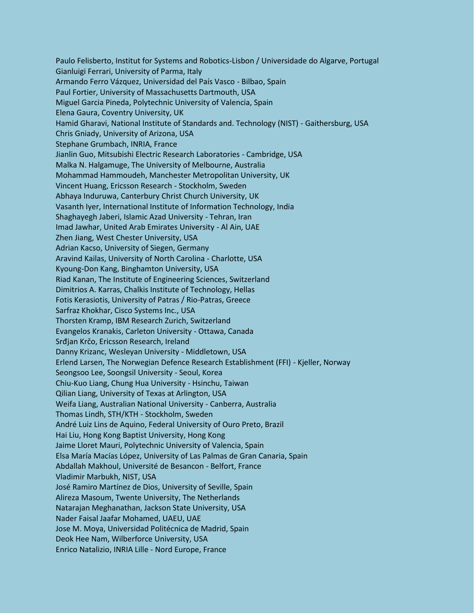Paulo Felisberto, Institut for Systems and Robotics-Lisbon / Universidade do Algarve, Portugal Gianluigi Ferrari, University of Parma, Italy Armando Ferro Vázquez, Universidad del País Vasco - Bilbao, Spain Paul Fortier, University of Massachusetts Dartmouth, USA Miguel Garcia Pineda, Polytechnic University of Valencia, Spain Elena Gaura, Coventry University, UK Hamid Gharavi, National Institute of Standards and. Technology (NIST) - Gaithersburg, USA Chris Gniady, University of Arizona, USA Stephane Grumbach, INRIA, France Jianlin Guo, Mitsubishi Electric Research Laboratories - Cambridge, USA Malka N. Halgamuge, The University of Melbourne, Australia Mohammad Hammoudeh, Manchester Metropolitan University, UK Vincent Huang, Ericsson Research - Stockholm, Sweden Abhaya Induruwa, Canterbury Christ Church University, UK Vasanth Iyer, International Institute of Information Technology, India Shaghayegh Jaberi, Islamic Azad University - Tehran, Iran Imad Jawhar, United Arab Emirates University - Al Ain, UAE Zhen Jiang, West Chester University, USA Adrian Kacso, University of Siegen, Germany Aravind Kailas, University of North Carolina - Charlotte, USA Kyoung-Don Kang, Binghamton University, USA Riad Kanan, The Institute of Engineering Sciences, Switzerland Dimitrios A. Karras, Chalkis Institute of Technology, Hellas Fotis Kerasiotis, University of Patras / Rio-Patras, Greece Sarfraz Khokhar, Cisco Systems Inc., USA Thorsten Kramp, IBM Research Zurich, Switzerland Evangelos Kranakis, Carleton University - Ottawa, Canada Srđjan Krčo, Ericsson Research, Ireland Danny Krizanc, Wesleyan University - Middletown, USA Erlend Larsen, The Norwegian Defence Research Establishment (FFI) - Kjeller, Norway Seongsoo Lee, Soongsil University - Seoul, Korea Chiu-Kuo Liang, Chung Hua University - Hsinchu, Taiwan Qilian Liang, University of Texas at Arlington, USA Weifa Liang, Australian National University - Canberra, Australia Thomas Lindh, STH/KTH - Stockholm, Sweden André Luiz Lins de Aquino, Federal University of Ouro Preto, Brazil Hai Liu, Hong Kong Baptist University, Hong Kong Jaime Lloret Mauri, Polytechnic University of Valencia, Spain Elsa María Macías López, University of Las Palmas de Gran Canaria, Spain Abdallah Makhoul, Université de Besancon - Belfort, France Vladimir Marbukh, NIST, USA José Ramiro Martínez de Dios, University of Seville, Spain Alireza Masoum, Twente University, The Netherlands Natarajan Meghanathan, Jackson State University, USA Nader Faisal Jaafar Mohamed, UAEU, UAE Jose M. Moya, Universidad Politécnica de Madrid, Spain Deok Hee Nam, Wilberforce University, USA Enrico Natalizio, INRIA Lille - Nord Europe, France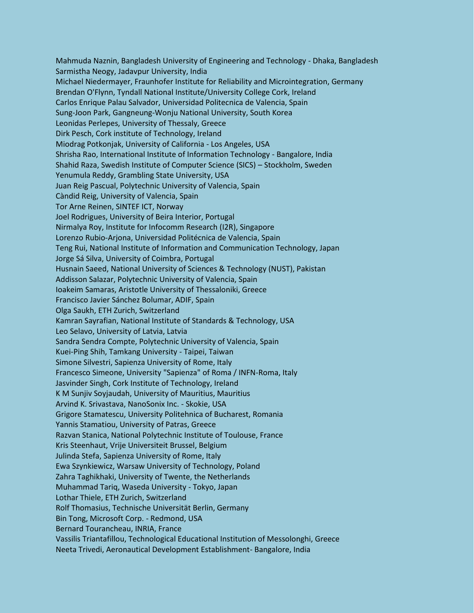Mahmuda Naznin, Bangladesh University of Engineering and Technology - Dhaka, Bangladesh Sarmistha Neogy, Jadavpur University, India Michael Niedermayer, Fraunhofer Institute for Reliability and Microintegration, Germany Brendan O'Flynn, Tyndall National Institute/University College Cork, Ireland Carlos Enrique Palau Salvador, Universidad Politecnica de Valencia, Spain Sung-Joon Park, Gangneung-Wonju National University, South Korea Leonidas Perlepes, University of Thessaly, Greece Dirk Pesch, Cork institute of Technology, Ireland Miodrag Potkonjak, University of California - Los Angeles, USA Shrisha Rao, International Institute of Information Technology - Bangalore, India Shahid Raza, Swedish Institute of Computer Science (SICS) – Stockholm, Sweden Yenumula Reddy, Grambling State University, USA Juan Reig Pascual, Polytechnic University of Valencia, Spain Càndid Reig, University of Valencia, Spain Tor Arne Reinen, SINTEF ICT, Norway Joel Rodrigues, University of Beira Interior, Portugal Nirmalya Roy, Institute for Infocomm Research (I2R), Singapore Lorenzo Rubio-Arjona, Universidad Politécnica de Valencia, Spain Teng Rui, National Institute of Information and Communication Technology, Japan Jorge Sá Silva, University of Coimbra, Portugal Husnain Saeed, National University of Sciences & Technology (NUST), Pakistan Addisson Salazar, Polytechnic University of Valencia, Spain Ioakeim Samaras, Aristotle University of Thessaloniki, Greece Francisco Javier Sánchez Bolumar, ADIF, Spain Olga Saukh, ETH Zurich, Switzerland Kamran Sayrafian, National Institute of Standards & Technology, USA Leo Selavo, University of Latvia, Latvia Sandra Sendra Compte, Polytechnic University of Valencia, Spain Kuei-Ping Shih, Tamkang University - Taipei, Taiwan Simone Silvestri, Sapienza University of Rome, Italy Francesco Simeone, University "Sapienza" of Roma / INFN-Roma, Italy Jasvinder Singh, Cork Institute of Technology, Ireland K M Sunjiv Soyjaudah, University of Mauritius, Mauritius Arvind K. Srivastava, NanoSonix Inc. - Skokie, USA Grigore Stamatescu, University Politehnica of Bucharest, Romania Yannis Stamatiou, University of Patras, Greece Razvan Stanica, National Polytechnic Institute of Toulouse, France Kris Steenhaut, Vrije Universiteit Brussel, Belgium Julinda Stefa, Sapienza University of Rome, Italy Ewa Szynkiewicz, Warsaw University of Technology, Poland Zahra Taghikhaki, University of Twente, the Netherlands Muhammad Tariq, Waseda University - Tokyo, Japan Lothar Thiele, ETH Zurich, Switzerland Rolf Thomasius, Technische Universität Berlin, Germany Bin Tong, Microsoft Corp. - Redmond, USA Bernard Tourancheau, INRIA, France Vassilis Triantafillou, Technological Educational Institution of Messolonghi, Greece Neeta Trivedi, Aeronautical Development Establishment- Bangalore, India